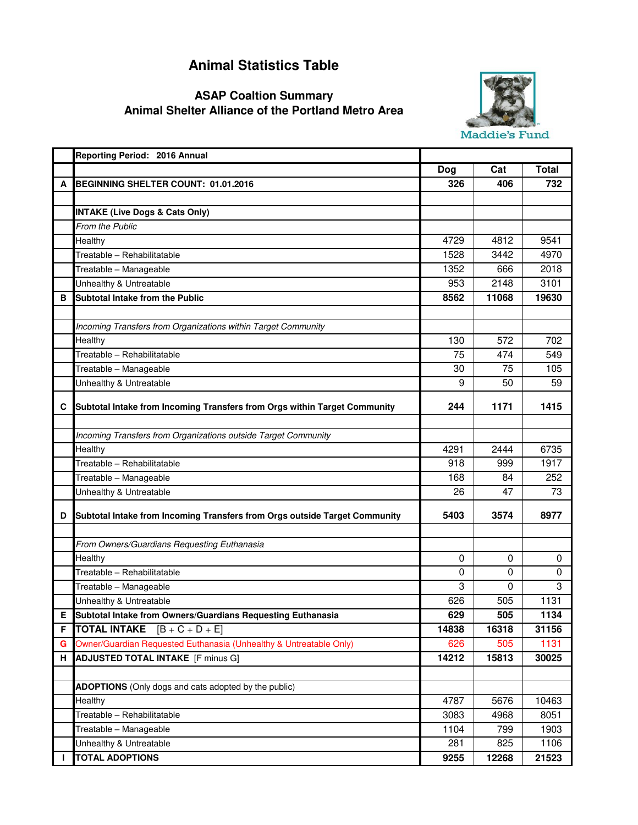## **Animal Statistics Table**

## **Animal Shelter Alliance of the Portland Metro Area ASAP Coaltion Summary**



|   | Reporting Period: 2016 Annual                                              |             |       |              |
|---|----------------------------------------------------------------------------|-------------|-------|--------------|
|   |                                                                            | <b>Dog</b>  | Cat   | <b>Total</b> |
| А | BEGINNING SHELTER COUNT: 01.01.2016                                        | 326         | 406   | 732          |
|   |                                                                            |             |       |              |
|   | <b>INTAKE (Live Dogs &amp; Cats Only)</b>                                  |             |       |              |
|   | From the Public                                                            |             |       |              |
|   | Healthy                                                                    | 4729        | 4812  | 9541         |
|   | Treatable - Rehabilitatable                                                | 1528        | 3442  | 4970         |
|   | Treatable - Manageable                                                     | 1352        | 666   | 2018         |
|   | Unhealthy & Untreatable                                                    | 953         | 2148  | 3101         |
| в | Subtotal Intake from the Public                                            | 8562        | 11068 | 19630        |
|   |                                                                            |             |       |              |
|   | Incoming Transfers from Organizations within Target Community              |             |       |              |
|   | Healthy                                                                    | 130         | 572   | 702          |
|   | Treatable - Rehabilitatable                                                | 75          | 474   | 549          |
|   | Treatable - Manageable                                                     | 30          | 75    | 105          |
|   | Unhealthy & Untreatable                                                    | 9           | 50    | 59           |
|   |                                                                            |             |       |              |
| C | Subtotal Intake from Incoming Transfers from Orgs within Target Community  | 244         | 1171  | 1415         |
|   |                                                                            |             |       |              |
|   | Incoming Transfers from Organizations outside Target Community             |             |       |              |
|   | Healthy                                                                    | 4291        | 2444  | 6735         |
|   | Treatable - Rehabilitatable                                                | 918         | 999   | 1917         |
|   | Treatable - Manageable                                                     | 168         | 84    | 252          |
|   | Unhealthy & Untreatable                                                    | 26          | 47    | 73           |
| D | Subtotal Intake from Incoming Transfers from Orgs outside Target Community | 5403        | 3574  | 8977         |
|   |                                                                            |             |       |              |
|   | From Owners/Guardians Requesting Euthanasia                                |             |       |              |
|   | Healthy                                                                    | 0           | 0     | $\mathbf 0$  |
|   | Treatable - Rehabilitatable                                                | $\mathbf 0$ | 0     | 0            |
|   | Treatable - Manageable                                                     | 3           | 0     | 3            |
|   | Unhealthy & Untreatable                                                    | 626         | 505   | 1131         |
| E | Subtotal Intake from Owners/Guardians Requesting Euthanasia                | 629         | 505   | 1134         |
| F | <b>TOTAL INTAKE</b><br>$[B + C + D + E]$                                   | 14838       | 16318 | 31156        |
| G | Owner/Guardian Requested Euthanasia (Unhealthy & Untreatable Only)         | 626         | 505   | 1131         |
| н | <b>ADJUSTED TOTAL INTAKE</b> [F minus G]                                   | 14212       | 15813 | 30025        |
|   |                                                                            |             |       |              |
|   | <b>ADOPTIONS</b> (Only dogs and cats adopted by the public)                |             |       |              |
|   | Healthy                                                                    | 4787        | 5676  | 10463        |
|   | Treatable - Rehabilitatable                                                | 3083        | 4968  | 8051         |
|   | Treatable - Manageable                                                     | 1104        | 799   | 1903         |
|   | Unhealthy & Untreatable                                                    | 281         | 825   | 1106         |
|   | <b>TOTAL ADOPTIONS</b>                                                     | 9255        | 12268 | 21523        |